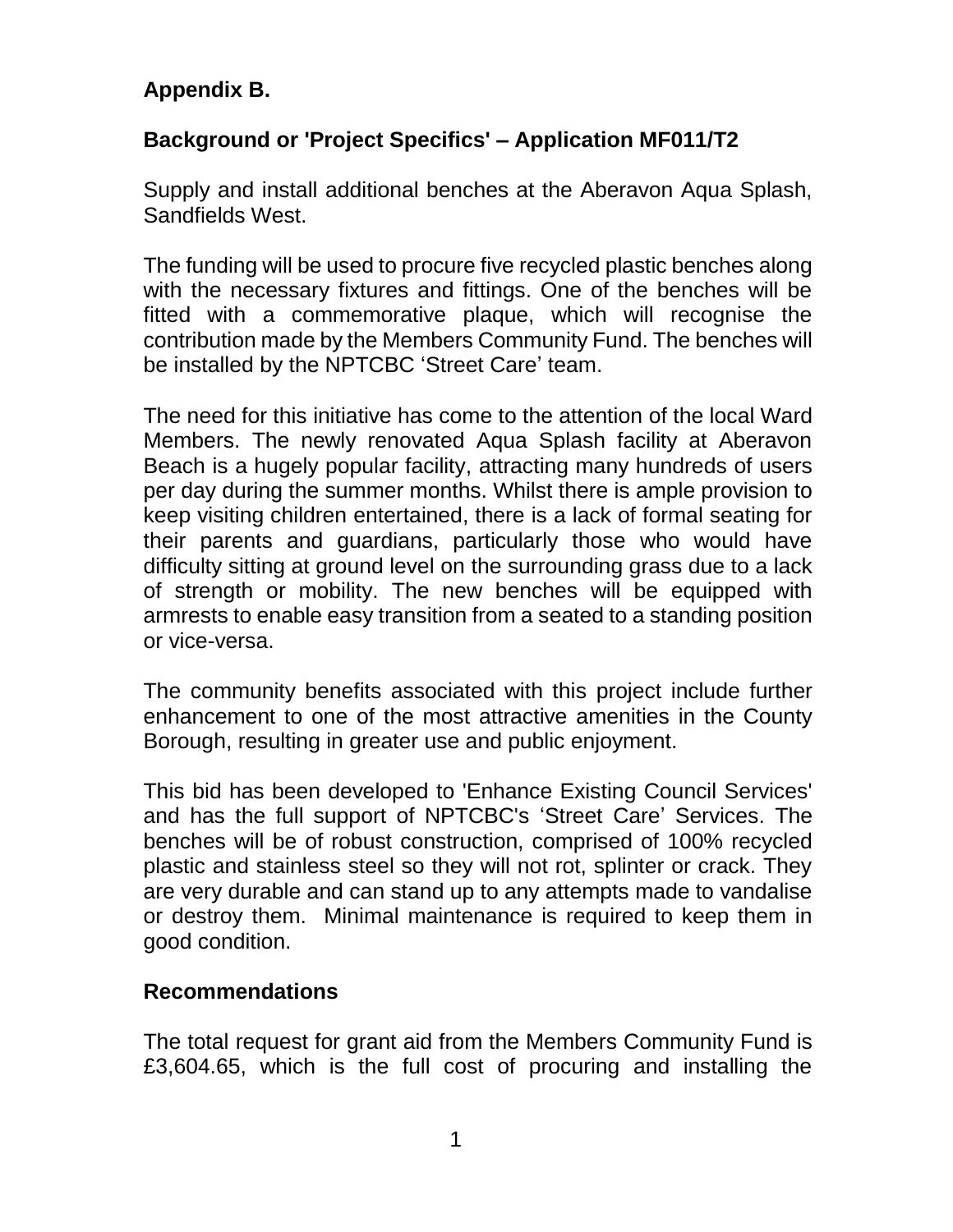## **Appendix B.**

## **Background or 'Project Specifics' – Application MF011/T2**

Supply and install additional benches at the Aberavon Aqua Splash, Sandfields West.

The funding will be used to procure five recycled plastic benches along with the necessary fixtures and fittings. One of the benches will be fitted with a commemorative plaque, which will recognise the contribution made by the Members Community Fund. The benches will be installed by the NPTCBC 'Street Care' team.

The need for this initiative has come to the attention of the local Ward Members. The newly renovated Aqua Splash facility at Aberavon Beach is a hugely popular facility, attracting many hundreds of users per day during the summer months. Whilst there is ample provision to keep visiting children entertained, there is a lack of formal seating for their parents and guardians, particularly those who would have difficulty sitting at ground level on the surrounding grass due to a lack of strength or mobility. The new benches will be equipped with armrests to enable easy transition from a seated to a standing position or vice-versa.

The community benefits associated with this project include further enhancement to one of the most attractive amenities in the County Borough, resulting in greater use and public enjoyment.

This bid has been developed to 'Enhance Existing Council Services' and has the full support of NPTCBC's 'Street Care' Services. The benches will be of robust construction, comprised of 100% recycled plastic and stainless steel so they will not rot, splinter or crack. They are very durable and can stand up to any attempts made to vandalise or destroy them. Minimal maintenance is required to keep them in good condition.

## **Recommendations**

The total request for grant aid from the Members Community Fund is £3,604.65, which is the full cost of procuring and installing the